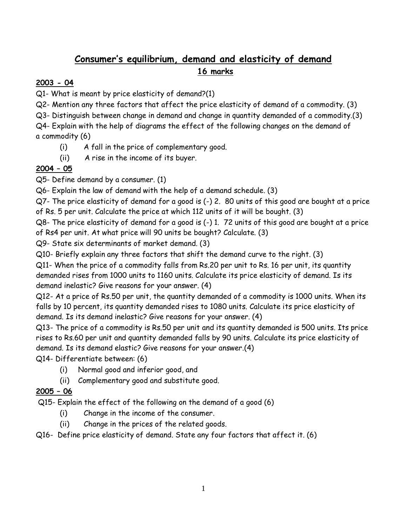# **Consumer's equilibrium, demand and elasticity of demand 16 marks**

## **2003 - 04**

Q1- What is meant by price elasticity of demand?(1)

Q2- Mention any three factors that affect the price elasticity of demand of a commodity. (3)

Q3- Distinguish between change in demand and change in quantity demanded of a commodity.(3)

Q4- Explain with the help of diagrams the effect of the following changes on the demand of a commodity (6)

(i) A fall in the price of complementary good.

(ii) A rise in the income of its buyer.

# **2004 – 05**

Q5- Define demand by a consumer. (1)

Q6- Explain the law of demand with the help of a demand schedule. (3)

Q7- The price elasticity of demand for a good is (-) 2. 80 units of this good are bought at a price of Rs. 5 per unit. Calculate the price at which 112 units of it will be bought. (3)

Q8- The price elasticity of demand for a good is (-) 1. 72 units of this good are bought at a price of Rs4 per unit. At what price will 90 units be bought? Calculate. (3)

Q9- State six determinants of market demand. (3)

Q10- Briefly explain any three factors that shift the demand curve to the right. (3)

Q11- When the price of a commodity falls from Rs.20 per unit to Rs. 16 per unit, its quantity demanded rises from 1000 units to 1160 units. Calculate its price elasticity of demand. Is its demand inelastic? Give reasons for your answer. (4)

Q12- At a price of Rs.50 per unit, the quantity demanded of a commodity is 1000 units. When its falls by 10 percent, its quantity demanded rises to 1080 units. Calculate its price elasticity of demand. Is its demand inelastic? Give reasons for your answer. (4)

Q13- The price of a commodity is Rs.50 per unit and its quantity demanded is 500 units. Its price rises to Rs.60 per unit and quantity demanded falls by 90 units. Calculate its price elasticity of demand. Is its demand elastic? Give reasons for your answer.(4)

Q14- Differentiate between: (6)

- (i) Normal good and inferior good, and
- (ii) Complementary good and substitute good.

# **2005 – 06**

Q15- Explain the effect of the following on the demand of a good (6)

- (i) Change in the income of the consumer.
- (ii) Change in the prices of the related goods.

Q16- Define price elasticity of demand. State any four factors that affect it. (6)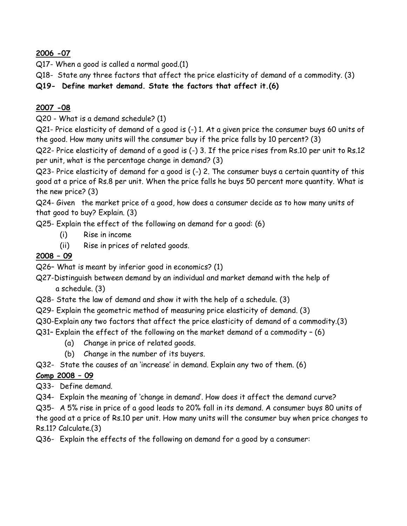**2006 -07**

Q17- When a good is called a normal good.(1)

Q18- State any three factors that affect the price elasticity of demand of a commodity. (3)

**Q19- Define market demand. State the factors that affect it.(6)**

## **2007 -08**

Q20 - What is a demand schedule? (1)

Q21- Price elasticity of demand of a good is (-) 1. At a given price the consumer buys 60 units of the good. How many units will the consumer buy if the price falls by 10 percent? (3)

Q22- Price elasticity of demand of a good is (-) 3. If the price rises from Rs.10 per unit to Rs.12 per unit, what is the percentage change in demand? (3)

Q23- Price elasticity of demand for a good is (-) 2. The consumer buys a certain quantity of this good at a price of Rs.8 per unit. When the price falls he buys 50 percent more quantity. What is the new price? (3)

Q24- Given the market price of a good, how does a consumer decide as to how many units of that good to buy? Explain. (3)

Q25- Explain the effect of the following on demand for a good: (6)

- (i) Rise in income
- (ii) Rise in prices of related goods.

## **2008 – 09**

Q26– What is meant by inferior good in economics? (1)

Q27-Distinguish between demand by an individual and market demand with the help of a schedule. (3)

- Q28- State the law of demand and show it with the help of a schedule. (3)
- Q29- Explain the geometric method of measuring price elasticity of demand. (3)
- Q30-Explain any two factors that affect the price elasticity of demand of a commodity.(3)
- Q31– Explain the effect of the following on the market demand of a commodity (6)
	- (a) Change in price of related goods.
	- (b) Change in the number of its buyers.
- Q32- State the causes of an "increase" in demand. Explain any two of them. (6)

## **Comp 2008 – 09**

Q33- Define demand.

Q34- Explain the meaning of "change in demand". How does it affect the demand curve?

Q35- A 5% rise in price of a good leads to 20% fall in its demand. A consumer buys 80 units of the good at a price of Rs.10 per unit. How many units will the consumer buy when price changes to Rs.11? Calculate.(3)

Q36- Explain the effects of the following on demand for a good by a consumer: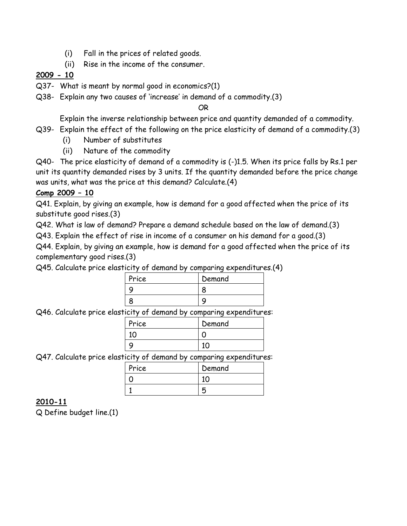- (i) Fall in the prices of related goods.
- (ii) Rise in the income of the consumer.

## **2009 - 10**

- Q37- What is meant by normal good in economics?(1)
- Q38- Explain any two causes of "increase" in demand of a commodity.(3)

OR

Explain the inverse relationship between price and quantity demanded of a commodity.

- Q39- Explain the effect of the following on the price elasticity of demand of a commodity.(3)
	- (i) Number of substitutes
	- (ii) Nature of the commodity

Q40- The price elasticity of demand of a commodity is (-)1.5. When its price falls by Rs.1 per unit its quantity demanded rises by 3 units. If the quantity demanded before the price change was units, what was the price at this demand? Calculate.(4)

## **Comp 2009 – 10**

Q41. Explain, by giving an example, how is demand for a good affected when the price of its substitute good rises.(3)

Q42. What is law of demand? Prepare a demand schedule based on the law of demand.(3)

Q43. Explain the effect of rise in income of a consumer on his demand for a good.(3)

Q44. Explain, by giving an example, how is demand for a good affected when the price of its complementary good rises.(3)

Q45. Calculate price elasticity of demand by comparing expenditures.(4)

| Price | Demand |
|-------|--------|
|       |        |
|       |        |

Q46. Calculate price elasticity of demand by comparing expenditures:

| Price | Demand |
|-------|--------|
|       |        |
|       |        |

Q47. Calculate price elasticity of demand by comparing expenditures:

| Price | Demand |
|-------|--------|
|       |        |
|       |        |

## **2010-11**

Q Define budget line.(1)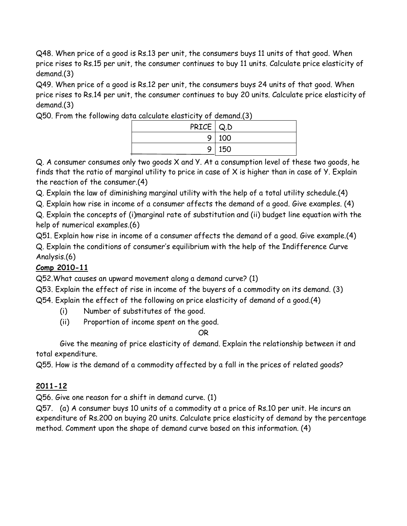Q48. When price of a good is Rs.13 per unit, the consumers buys 11 units of that good. When price rises to Rs.15 per unit, the consumer continues to buy 11 units. Calculate price elasticity of demand.(3)

Q49. When price of a good is Rs.12 per unit, the consumers buys 24 units of that good. When price rises to Rs.14 per unit, the consumer continues to buy 20 units. Calculate price elasticity of demand.(3)

Q50. From the following data calculate elasticity of demand.(3)

| PRICE   Q.D |
|-------------|
| 9 100       |
| 9 150       |
|             |

Q. A consumer consumes only two goods X and Y. At a consumption level of these two goods, he finds that the ratio of marginal utility to price in case of X is higher than in case of Y. Explain the reaction of the consumer.(4)

Q. Explain the law of diminishing marginal utility with the help of a total utility schedule.(4)

Q. Explain how rise in income of a consumer affects the demand of a good. Give examples. (4)

Q. Explain the concepts of (i)marginal rate of substitution and (ii) budget line equation with the help of numerical examples.(6)

Q51. Explain how rise in income of a consumer affects the demand of a good. Give example.(4) Q. Explain the conditions of consumer"s equilibrium with the help of the Indifference Curve Analysis.(6)

# **Comp 2010-11**

Q52.What causes an upward movement along a demand curve? (1)

Q53. Explain the effect of rise in income of the buyers of a commodity on its demand. (3)

Q54. Explain the effect of the following on price elasticity of demand of a good.(4)

- (i) Number of substitutes of the good.
- (ii) Proportion of income spent on the good.

OR

Give the meaning of price elasticity of demand. Explain the relationship between it and total expenditure.

Q55. How is the demand of a commodity affected by a fall in the prices of related goods?

# **2011-12**

Q56. Give one reason for a shift in demand curve. (1)

Q57. (a) A consumer buys 10 units of a commodity at a price of Rs.10 per unit. He incurs an expenditure of Rs.200 on buying 20 units. Calculate price elasticity of demand by the percentage method. Comment upon the shape of demand curve based on this information. (4)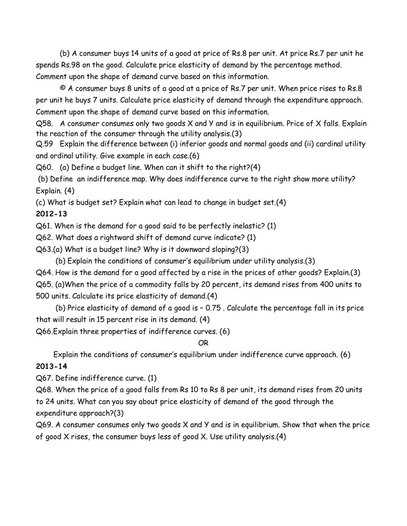(b) A consumer buys 14 units of a good at price of Rs.8 per unit. At price Rs.7 per unit he spends Rs.98 on the good. Calculate price elasticity of demand by the percentage method. Comment upon the shape of demand curve based on this information.

 © A consumer buys 8 units of a good at a price of Rs.7 per unit. When price rises to Rs.8 per unit he buys 7 units. Calculate price elasticity of demand through the expenditure approach. Comment upon the shape of demand curve based on this information.

Q58. A consumer consumes only two goods X and Y and is in equilibrium. Price of X falls. Explain the reaction of the consumer through the utility analysis.(3)

Q.59 Explain the difference between (i) inferior goods and normal goods and (ii) cardinal utility and ordinal utility. Give example in each case.(6)

Q60. (a) Define a budget line. When can it shift to the right?(4)

(b) Define an indifference map. Why does indifference curve to the right show more utility? Explain. (4)

(c) What is budget set? Explain what can lead to change in budget set.(4)

## **2012-13**

Q61. When is the demand for a good said to be perfectly inelastic? (1)

Q62. What does a rightward shift of demand curve indicate? (1)

Q63.(a) What is a budget line? Why is it downward sloping?(3)

(b) Explain the conditions of consumer"s equilibrium under utility analysis.(3)

Q64. How is the demand for a good affected by a rise in the prices of other goods? Explain.(3) Q65. (a)When the price of a commodity falls by 20 percent, its demand rises from 400 units to 500 units. Calculate its price elasticity of demand.(4)

 (b) Price elasticity of demand of a good is – 0.75 . Calculate the percentage fall in its price that will result in 15 percent rise in its demand. (4)

Q66.Explain three properties of indifference curves. (6)

#### OR

Explain the conditions of consumer"s equilibrium under indifference curve approach. (6)

## **2013-14**

Q67. Define indifference curve. (1)

Q68. When the price of a good falls from Rs 10 to Rs 8 per unit, its demand rises from 20 units to 24 units. What can you say about price elasticity of demand of the good through the expenditure approach?(3)

Q69. A consumer consumes only two goods X and Y and is in equilibrium. Show that when the price of good X rises, the consumer buys less of good X. Use utility analysis.(4)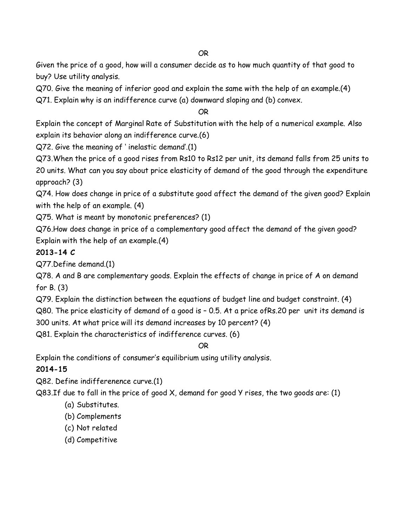#### OR

Given the price of a good, how will a consumer decide as to how much quantity of that good to buy? Use utility analysis.

Q70. Give the meaning of inferior good and explain the same with the help of an example.(4)

Q71. Explain why is an indifference curve (a) downward sloping and (b) convex.

### OR

Explain the concept of Marginal Rate of Substitution with the help of a numerical example. Also explain its behavior along an indifference curve.(6)

Q72. Give the meaning of " inelastic demand".(1)

Q73.When the price of a good rises from Rs10 to Rs12 per unit, its demand falls from 25 units to 20 units. What can you say about price elasticity of demand of the good through the expenditure approach? (3)

Q74. How does change in price of a substitute good affect the demand of the given good? Explain with the help of an example. (4)

Q75. What is meant by monotonic preferences? (1)

Q76.How does change in price of a complementary good affect the demand of the given good? Explain with the help of an example.(4)

## **2013-14 C**

Q77.Define demand.(1)

Q78. A and B are complementary goods. Explain the effects of change in price of A on demand for B. (3)

Q79. Explain the distinction between the equations of budget line and budget constraint. (4)

Q80. The price elasticity of demand of a good is – 0.5. At a price ofRs.20 per unit its demand is

300 units. At what price will its demand increases by 10 percent? (4)

Q81. Explain the characteristics of indifference curves. (6)

## OR

Explain the conditions of consumer"s equilibrium using utility analysis.

## **2014-15**

Q82. Define indifferenence curve.(1)

Q83.If due to fall in the price of good X, demand for good Y rises, the two goods are: (1)

- (a) Substitutes.
- (b) Complements
- (c) Not related
- (d) Competitive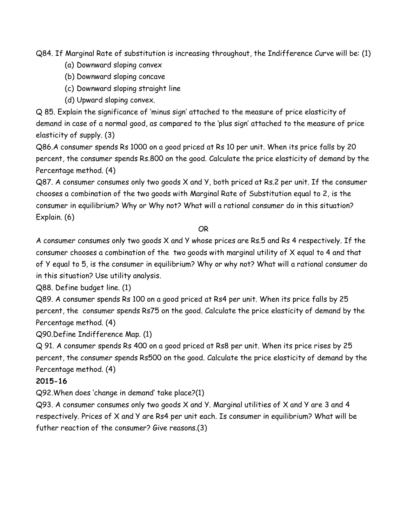Q84. If Marginal Rate of substitution is increasing throughout, the Indifference Curve will be: (1)

- (a) Downward sloping convex
- (b) Downward sloping concave
- (c) Downward sloping straight line
- (d) Upward sloping convex.

Q 85. Explain the significance of "minus sign" attached to the measure of price elasticity of demand in case of a normal good, as compared to the "plus sign" attached to the measure of price elasticity of supply. (3)

Q86.A consumer spends Rs 1000 on a good priced at Rs 10 per unit. When its price falls by 20 percent, the consumer spends Rs.800 on the good. Calculate the price elasticity of demand by the Percentage method. (4)

Q87. A consumer consumes only two goods X and Y, both priced at Rs.2 per unit. If the consumer chooses a combination of the two goods with Marginal Rate of Substitution equal to 2, is the consumer in equilibrium? Why or Why not? What will a rational consumer do in this situation? Explain. (6)

#### OR

A consumer consumes only two goods X and Y whose prices are Rs.5 and Rs 4 respectively. If the consumer chooses a combination of the two goods with marginal utility of X equal to 4 and that of Y equal to 5, is the consumer in equilibrium? Why or why not? What will a rational consumer do in this situation? Use utility analysis.

Q88. Define budget line. (1)

Q89. A consumer spends Rs 100 on a good priced at Rs4 per unit. When its price falls by 25 percent, the consumer spends Rs75 on the good. Calculate the price elasticity of demand by the Percentage method. (4)

Q90.Define Indifference Map. (1)

Q 91. A consumer spends Rs 400 on a good priced at Rs8 per unit. When its price rises by 25 percent, the consumer spends Rs500 on the good. Calculate the price elasticity of demand by the Percentage method. (4)

#### **2015-16**

Q92.When does "change in demand" take place?(1)

Q93. A consumer consumes only two goods X and Y. Marginal utilities of X and Y are 3 and 4 respectively. Prices of X and Y are Rs4 per unit each. Is consumer in equilibrium? What will be futher reaction of the consumer? Give reasons.(3)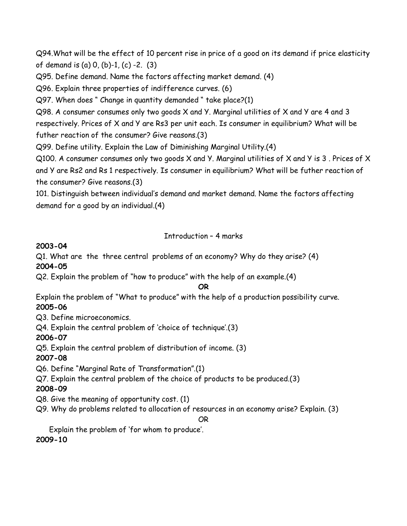Q94.What will be the effect of 10 percent rise in price of a good on its demand if price elasticity of demand is (a) 0, (b)-1, (c) -2. (3)

Q95. Define demand. Name the factors affecting market demand. (4)

Q96. Explain three properties of indifference curves. (6)

Q97. When does " Change in quantity demanded " take place?(1)

Q98. A consumer consumes only two goods X and Y. Marginal utilities of X and Y are 4 and 3 respectively. Prices of X and Y are Rs3 per unit each. Is consumer in equilibrium? What will be futher reaction of the consumer? Give reasons.(3)

Q99. Define utility. Explain the Law of Diminishing Marginal Utility.(4)

Q100. A consumer consumes only two goods X and Y. Marginal utilities of X and Y is 3 . Prices of X and Y are Rs2 and Rs 1 respectively. Is consumer in equilibrium? What will be futher reaction of the consumer? Give reasons.(3)

101. Distinguish between individual"s demand and market demand. Name the factors affecting demand for a good by an individual.(4)

## Introduction – 4 marks

### **2003-04**

Q1. What are the three central problems of an economy? Why do they arise? (4) **2004-05**

Q2. Explain the problem of "how to produce" with the help of an example.(4)

#### **OR**

Explain the problem of "What to produce" with the help of a production possibility curve. **2005-06**

Q3. Define microeconomics.

Q4. Explain the central problem of 'choice of technique'.(3)

**2006-07**

Q5. Explain the central problem of distribution of income. (3)

## **2007-08**

Q6. Define "Marginal Rate of Transformation".(1)

Q7. Explain the central problem of the choice of products to be produced.(3)

## **2008-09**

Q8. Give the meaning of opportunity cost. (1)

Q9. Why do problems related to allocation of resources in an economy arise? Explain. (3)

OR

Explain the problem of "for whom to produce".

**2009-10**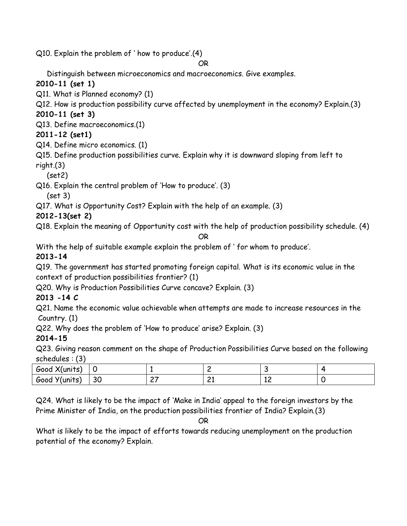Q10. Explain the problem of " how to produce".(4)

## OR

Distinguish between microeconomics and macroeconomics. Give examples.

# **2010-11 (set 1)**

Q11. What is Planned economy? (1)

Q12. How is production possibility curve affected by unemployment in the economy? Explain.(3)

# **2010-11 (set 3)**

Q13. Define macroeconomics.(1)

# **2011-12 (set1)**

Q14. Define micro economics. (1)

Q15. Define production possibilities curve. Explain why it is downward sloping from left to right.(3)

(set2)

Q16. Explain the central problem of "How to produce". (3)

(set 3)

Q17. What is Opportunity Cost? Explain with the help of an example. (3)

**2012-13(set 2)**

Q18. Explain the meaning of Opportunity cost with the help of production possibility schedule. (4)

## OR

With the help of suitable example explain the problem of " for whom to produce".

# **2013-14**

Q19. The government has started promoting foreign capital. What is its economic value in the context of production possibilities frontier? (1)

Q20. Why is Production Possibilities Curve concave? Explain. (3)

# **2013 -14 C**

Q21. Name the economic value achievable when attempts are made to increase resources in the Country. (1)

Q22. Why does the problem of "How to produce" arise? Explain. (3)

# **2014-15**

Q23. Giving reason comment on the shape of Production Possibilities Curve based on the following schedules : (3)

| , vr<br>Good X(units) |              |               |              |    |  |
|-----------------------|--------------|---------------|--------------|----|--|
| `Y(units)<br>Good     | $\sim$<br>30 | $\sim$<br>- ' | $\sim$<br>-- | ᆠᆫ |  |

Q24. What is likely to be the impact of "Make in India" appeal to the foreign investors by the Prime Minister of India, on the production possibilities frontier of India? Explain.(3)

OR

What is likely to be the impact of efforts towards reducing unemployment on the production potential of the economy? Explain.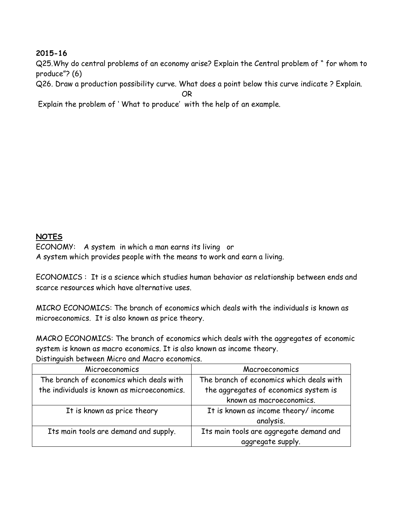### **2015-16**

Q25.Why do central problems of an economy arise? Explain the Central problem of " for whom to produce"? (6)

Q26. Draw a production possibility curve. What does a point below this curve indicate ? Explain.

OR

Explain the problem of " What to produce" with the help of an example.

### **NOTES**

ECONOMY: A system in which a man earns its living or A system which provides people with the means to work and earn a living.

ECONOMICS : It is a science which studies human behavior as relationship between ends and scarce resources which have alternative uses.

MICRO ECONOMICS: The branch of economics which deals with the individuals is known as microeconomics. It is also known as price theory.

MACRO ECONOMICS: The branch of economics which deals with the aggregates of economic system is known as macro economics. It is also known as income theory. Distinguish between Micro and Macro economics.

| Microeconomics                              | Macroeconomics                           |
|---------------------------------------------|------------------------------------------|
| The branch of economics which deals with    | The branch of economics which deals with |
| the individuals is known as microeconomics. | the aggregates of economics system is    |
|                                             | known as macroeconomics.                 |
| It is known as price theory                 | It is known as income theory/income      |
|                                             | analysis.                                |
| Its main tools are demand and supply.       | Its main tools are aggregate demand and  |
|                                             | aggregate supply.                        |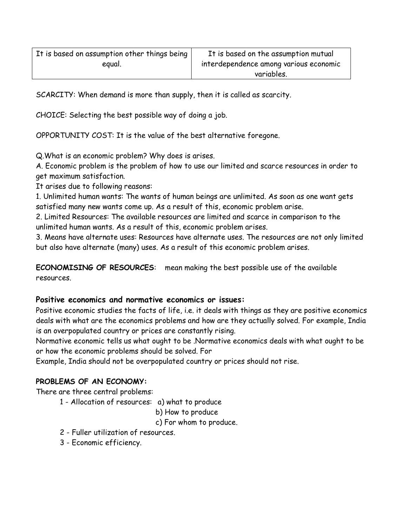SCARCITY: When demand is more than supply, then it is called as scarcity.

CHOICE: Selecting the best possible way of doing a job.

OPPORTUNITY COST: It is the value of the best alternative foregone.

Q.What is an economic problem? Why does is arises.

A. Economic problem is the problem of how to use our limited and scarce resources in order to get maximum satisfaction.

It arises due to following reasons:

1. Unlimited human wants: The wants of human beings are unlimited. As soon as one want gets satisfied many new wants come up. As a result of this, economic problem arise.

2. Limited Resources: The available resources are limited and scarce in comparison to the unlimited human wants. As a result of this, economic problem arises.

3. Means have alternate uses: Resources have alternate uses. The resources are not only limited but also have alternate (many) uses. As a result of this economic problem arises.

**ECONOMISING OF RESOURCES**: mean making the best possible use of the available resources.

## **Positive economics and normative economics or issues:**

Positive economic studies the facts of life, i.e. it deals with things as they are positive economics deals with what are the economics problems and how are they actually solved. For example, India is an overpopulated country or prices are constantly rising.

Normative economic tells us what ought to be .Normative economics deals with what ought to be or how the economic problems should be solved. For

Example, India should not be overpopulated country or prices should not rise.

# **PROBLEMS OF AN ECONOMY:**

There are three central problems:

1 - Allocation of resources: a) what to produce

## b) How to produce

- c) For whom to produce.
- 2 Fuller utilization of resources.
- 3 Economic efficiency.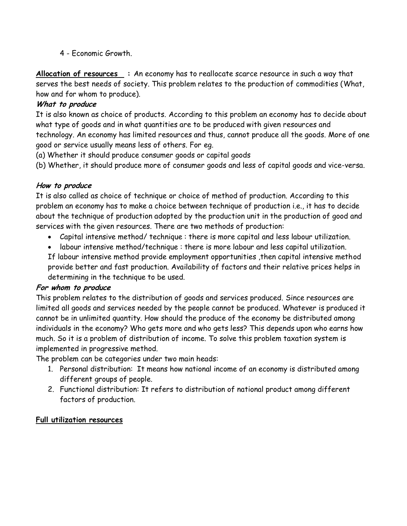4 - Economic Growth.

**Allocation of resources :** An economy has to reallocate scarce resource in such a way that serves the best needs of society. This problem relates to the production of commodities (What, how and for whom to produce).

## **What to produce**

It is also known as choice of products. According to this problem an economy has to decide about what type of goods and in what quantities are to be produced with given resources and technology. An economy has limited resources and thus, cannot produce all the goods. More of one good or service usually means less of others. For eg.

(a) Whether it should produce consumer goods or capital goods

(b) Whether, it should produce more of consumer goods and less of capital goods and vice-versa.

## **How to produce**

It is also called as choice of technique or choice of method of production. According to this problem an economy has to make a choice between technique of production i.e., it has to decide about the technique of production adopted by the production unit in the production of good and services with the given resources. There are two methods of production:

- Capital intensive method/ technique : there is more capital and less labour utilization.
- labour intensive method/technique : there is more labour and less capital utilization.

If labour intensive method provide employment opportunities ,then capital intensive method provide better and fast production. Availability of factors and their relative prices helps in determining in the technique to be used.

## **For whom to produce**

This problem relates to the distribution of goods and services produced. Since resources are limited all goods and services needed by the people cannot be produced. Whatever is produced it cannot be in unlimited quantity. How should the produce of the economy be distributed among individuals in the economy? Who gets more and who gets less? This depends upon who earns how much. So it is a problem of distribution of income. To solve this problem taxation system is implemented in progressive method.

The problem can be categories under two main heads:

- 1. Personal distribution: It means how national income of an economy is distributed among different groups of people.
- 2. Functional distribution: It refers to distribution of national product among different factors of production.

#### **Full utilization resources**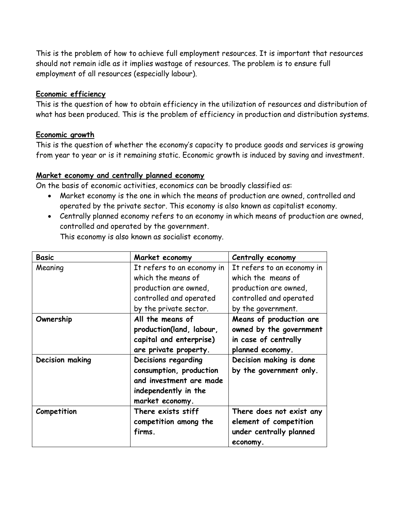This is the problem of how to achieve full employment resources. It is important that resources should not remain idle as it implies wastage of resources. The problem is to ensure full employment of all resources (especially labour).

#### **Economic efficiency**

This is the question of how to obtain efficiency in the utilization of resources and distribution of what has been produced. This is the problem of efficiency in production and distribution systems.

#### **Economic growth**

This is the question of whether the economy's capacity to produce goods and services is growing from year to year or is it remaining static. Economic growth is induced by saving and investment.

#### **Market economy and centrally planned economy**

On the basis of economic activities, economics can be broadly classified as:

- Market economy is the one in which the means of production are owned, controlled and operated by the private sector. This economy is also known as capitalist economy.
- Centrally planned economy refers to an economy in which means of production are owned, controlled and operated by the government.

| <b>Basic</b>    | Market economy                                                                                                       | Centrally economy                                                                              |
|-----------------|----------------------------------------------------------------------------------------------------------------------|------------------------------------------------------------------------------------------------|
| Meaning         | It refers to an economy in                                                                                           | It refers to an economy in                                                                     |
|                 | which the means of                                                                                                   | which the means of                                                                             |
|                 | production are owned,                                                                                                | production are owned,                                                                          |
|                 | controlled and operated                                                                                              | controlled and operated                                                                        |
|                 | by the private sector.                                                                                               | by the government.                                                                             |
| Ownership       | All the means of<br>production(land, labour,<br>capital and enterprise)<br>are private property.                     | Means of production are<br>owned by the government<br>in case of centrally<br>planned economy. |
| Decision making | Decisions regarding<br>consumption, production<br>and investment are made<br>independently in the<br>market economy. | Decision making is done<br>by the government only.                                             |
| Competition     | There exists stiff<br>competition among the<br>firms.                                                                | There does not exist any<br>element of competition<br>under centrally planned<br>economy.      |

This economy is also known as socialist economy.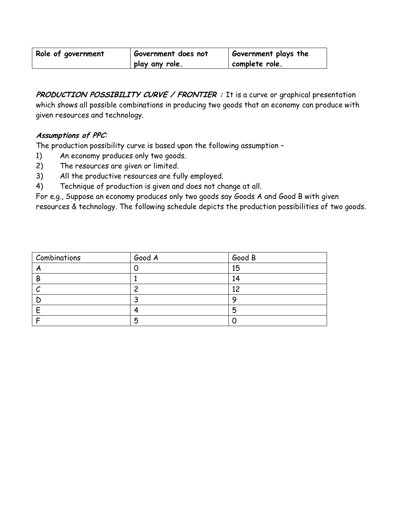| Role of government | Government does not | <b>Government plays the</b> |
|--------------------|---------------------|-----------------------------|
|                    | play any role.      | complete role.              |

**PRODUCTION POSSIBILITY CURVE / FRONTIER :** It is a curve or graphical presentation which shows all possible combinations in producing two goods that an economy can produce with given resources and technology.

### **Assumptions of PPC**:

The production possibility curve is based upon the following assumption –

- 1) An economy produces only two goods.
- 2) The resources are given or limited.
- 3) All the productive resources are fully employed.
- 4) Technique of production is given and does not change at all.

For e.g., Suppose an economy produces only two goods say Goods A and Good B with given resources & technology. The following schedule depicts the production possibilities of two goods.

| Combinations | Good A | Good B |
|--------------|--------|--------|
|              |        | 15     |
| B            |        | 14     |
|              | ີ      | 12     |
|              |        |        |
|              |        | 5      |
|              | 5      |        |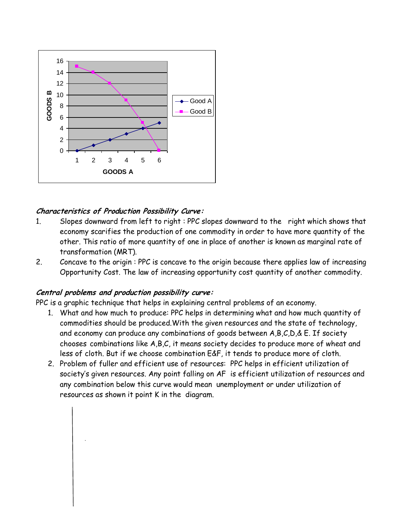

### **Characteristics of Production Possibility Curve:**

- 1. Slopes downward from left to right : PPC slopes downward to the right which shows that economy scarifies the production of one commodity in order to have more quantity of the other. This ratio of more quantity of one in place of another is known as marginal rate of transformation (MRT).
- 2. Concave to the origin : PPC is concave to the origin because there applies law of increasing Opportunity Cost. The law of increasing opportunity cost quantity of another commodity.

#### **Central problems and production possibility curve:**

PPC is a graphic technique that helps in explaining central problems of an economy.

- 1. What and how much to produce: PPC helps in determining what and how much quantity of commodities should be produced.With the given resources and the state of technology, and economy can produce any combinations of goods between A,B,C,D,& E. If society chooses combinations like A,B,C, it means society decides to produce more of wheat and less of cloth. But if we choose combination E&F, it tends to produce more of cloth.
- 2. Problem of fuller and efficient use of resources: PPC helps in efficient utilization of society's given resources. Any point falling on AF is efficient utilization of resources and any combination below this curve would mean unemployment or under utilization of resources as shown it point K in the diagram.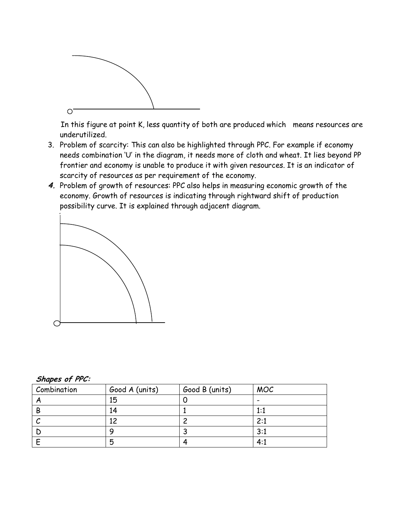

In this figure at point K, less quantity of both are produced which means resources are underutilized.

- 3. Problem of scarcity: This can also be highlighted through PPC. For example if economy needs combination "U" in the diagram, it needs more of cloth and wheat. It lies beyond PP frontier and economy is unable to produce it with given resources. It is an indicator of scarcity of resources as per requirement of the economy.
- **4.** Problem of growth of resources: PPC also helps in measuring economic growth of the economy. Growth of resources is indicating through rightward shift of production possibility curve. It is explained through adjacent diagram.



| Combination | Good A (units) | Good B (units) | <b>MOC</b> |
|-------------|----------------|----------------|------------|
|             | 15             |                |            |
| B           |                |                | 1:1        |
|             | ⌒              |                | 2:1        |
|             |                |                | 3:1        |
|             | 5              |                | 4:1        |

**Shapes of PPC:**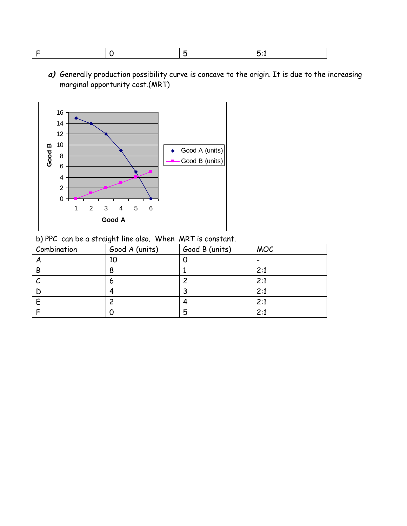|--|--|

**a)** Generally production possibility curve is concave to the origin. It is due to the increasing marginal opportunity cost.(MRT)



b) PPC can be a straight line also. When MRT is constant.

| Combination | Good A (units) | Good B (units) | <b>MOC</b> |
|-------------|----------------|----------------|------------|
|             | 10             |                |            |
| B           |                |                | 2:1        |
|             |                |                | 2:1        |
|             |                |                | 2:1        |
|             |                |                | 2:1        |
|             |                | 5              | 2:1        |